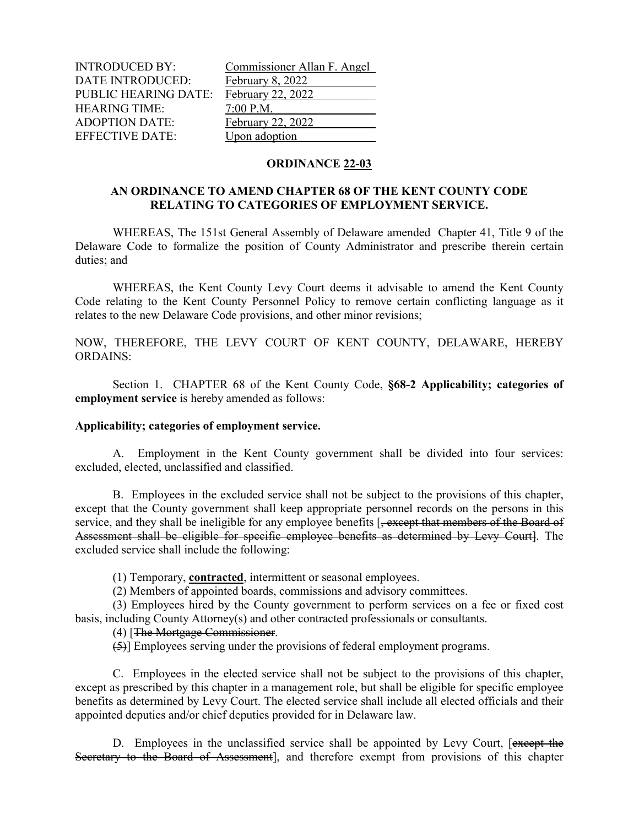INTRODUCED BY: Commissioner Allan F. Angel DATE INTRODUCED: February 8, 2022 PUBLIC HEARING DATE: February 22, 2022 HEARING TIME:  $\frac{7:00 \text{ P.M.}}{7 \text{ e} \cdot \text{F} \cdot \text{F} \cdot \text{F}}$  Tebruary 22, 2022 ADOPTION DATE: EFFECTIVE DATE: Upon adoption

## **ORDINANCE 22-03**

## **AN ORDINANCE TO AMEND CHAPTER 68 OF THE KENT COUNTY CODE RELATING TO CATEGORIES OF EMPLOYMENT SERVICE.**

WHEREAS, The 151st General Assembly of Delaware amended Chapter 41, Title 9 of the Delaware Code to formalize the position of County Administrator and prescribe therein certain duties; and

WHEREAS, the Kent County Levy Court deems it advisable to amend the Kent County Code relating to the Kent County Personnel Policy to remove certain conflicting language as it relates to the new Delaware Code provisions, and other minor revisions;

NOW, THEREFORE, THE LEVY COURT OF KENT COUNTY, DELAWARE, HEREBY ORDAINS:

Section 1. CHAPTER 68 of the Kent County Code, **§68-2 Applicability; categories of employment service** is hereby amended as follows:

## **Applicability; categories of employment service.**

A. Employment in the Kent County government shall be divided into four services: excluded, elected, unclassified and classified.

B. Employees in the excluded service shall not be subject to the provisions of this chapter, except that the County government shall keep appropriate personnel records on the persons in this service, and they shall be ineligible for any employee benefits [, except that members of the Board of Assessment shall be eligible for specific employee benefits as determined by Levy Court]. The excluded service shall include the following:

(1) Temporary, **contracted**, intermittent or seasonal employees.

(2) Members of appointed boards, commissions and advisory committees.

(3) Employees hired by the County government to perform services on a fee or fixed cost basis, including County Attorney(s) and other contracted professionals or consultants.

## (4) [The Mortgage Commissioner.

(5)] Employees serving under the provisions of federal employment programs.

C. Employees in the elected service shall not be subject to the provisions of this chapter, except as prescribed by this chapter in a management role, but shall be eligible for specific employee benefits as determined by Levy Court. The elected service shall include all elected officials and their appointed deputies and/or chief deputies provided for in Delaware law.

D. Employees in the unclassified service shall be appointed by Levy Court, [except the Secretary to the Board of Assessment], and therefore exempt from provisions of this chapter